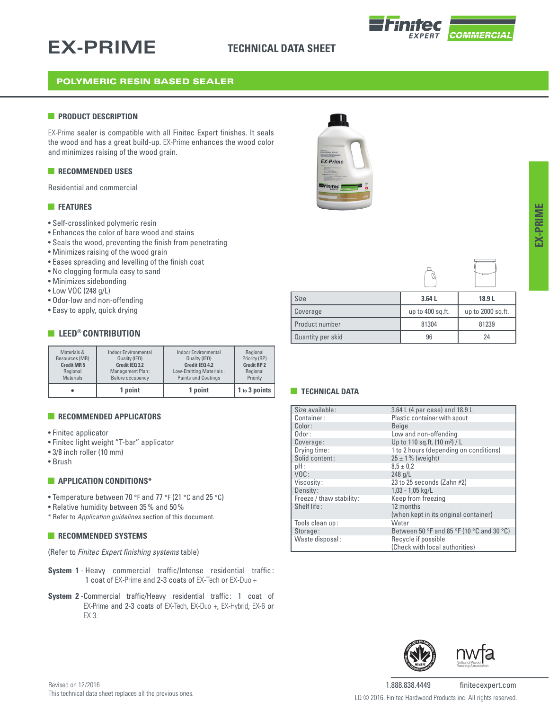## **EX-PRIME**

### **TECHNICAL DATA SHEET**



### POLYMERIC RESIN BASED SEALER

#### **PRODUCT DESCRIPTION**

EX-Prime sealer is compatible with all Finitec Expert finishes. It seals the wood and has a great build-up. EX-Prime enhances the wood color and minimizes raising of the wood grain.

#### **RECOMMENDED USES**

Residential and commercial

#### **FEATURES**

- Self-crosslinked polymeric resin
- Enhances the color of bare wood and stains
- Seals the wood, preventing the finish from penetrating
- Minimizes raising of the wood grain
- Eases spreading and levelling of the finish coat
- No clogging formula easy to sand
- Minimizes sidebonding
- Low VOC (248 g/L)
- Odor-low and non-offending
- Easy to apply, quick drying

#### **EXECUTE LEED® CONTRIBUTION**

| Materials &       | <b>Indoor Environmental</b> | <b>Indoor Environmental</b> | Regional           |
|-------------------|-----------------------------|-----------------------------|--------------------|
| Resources (MR)    | Quality (IEQ)               | Quality (IEQ)               | Priority (RP)      |
| <b>Credit MR5</b> | Credit IEO 3.2              | Credit IEO 4.2              | <b>Credit RP 2</b> |
| Regional          | Management Plan:            | Low-Emitting Materials:     | Regional           |
| <b>Materials</b>  | Before occupancy            | <b>Paints and Coatings</b>  | Priority           |
|                   | 1 point                     | 1 point                     |                    |

#### **RECOMMENDED APPLICATORS**

- Finitec applicator
- Finitec light weight "T-bar" applicator
- 3/8 inch roller (10 mm)
- Brush

#### **APPLICATION CONDITIONS\***

- Temperature between 70 °F and 77 °F (21 °C and 25 °C)
- Relative humidity between 35% and 50%
- \* Refer to *Application guidelines* section of this document.

#### **RECOMMENDED SYSTEMS**

(Refer to *Finitec Expert finishing systems* table)

- **System 1** Heavy commercial traffic/Intense residential traffic: 1 coat of EX-Prime and 2-3 coats of EX-Tech or EX-Duo +
- **System 2** -Commercial traffic/Heavy residential traffic: 1 coat of EX-Prime and 2-3 coats of EX-Tech, EX-Duo +, EX-Hybrid, EX-6 or EX-3.





| Size              | 3.64L            | 18.9L             |
|-------------------|------------------|-------------------|
| Coverage          | up to 400 sq.ft. | up to 2000 sq.ft. |
| Product number    | 81304            | 81239             |
| Quantity per skid | 96               | 24                |

#### **TECHNICAL DATA**

| Size available:          | 3.64 L (4 per case) and 18.9 L            |
|--------------------------|-------------------------------------------|
| Container:               | Plastic container with spout              |
| Color:                   | <b>Beige</b>                              |
| Odor:                    | Low and non-offending                     |
| Coverage:                | Up to 110 sq.ft. (10 m <sup>2</sup> ) / L |
| Drying time:             | 1 to 2 hours (depending on conditions)    |
| Solid content:           | $25 \pm 1\%$ (weight)                     |
| pH:                      | $8.5 \pm 0.2$                             |
| VOC:                     | $248$ g/L                                 |
| Viscosity:               | 23 to 25 seconds (Zahn #2)                |
| Density:                 | $1,03 - 1,05$ kg/L                        |
| Freeze / thaw stability: | Keep from freezing                        |
| Shelf life:              | 12 months                                 |
|                          | (when kept in its original container)     |
| Tools clean up:          | Water                                     |
| Storage:                 | Between 50 °F and 85 °F (10 °C and 30 °C) |
| Waste disposal:          | Recycle if possible                       |
|                          | (Check with local authorities)            |